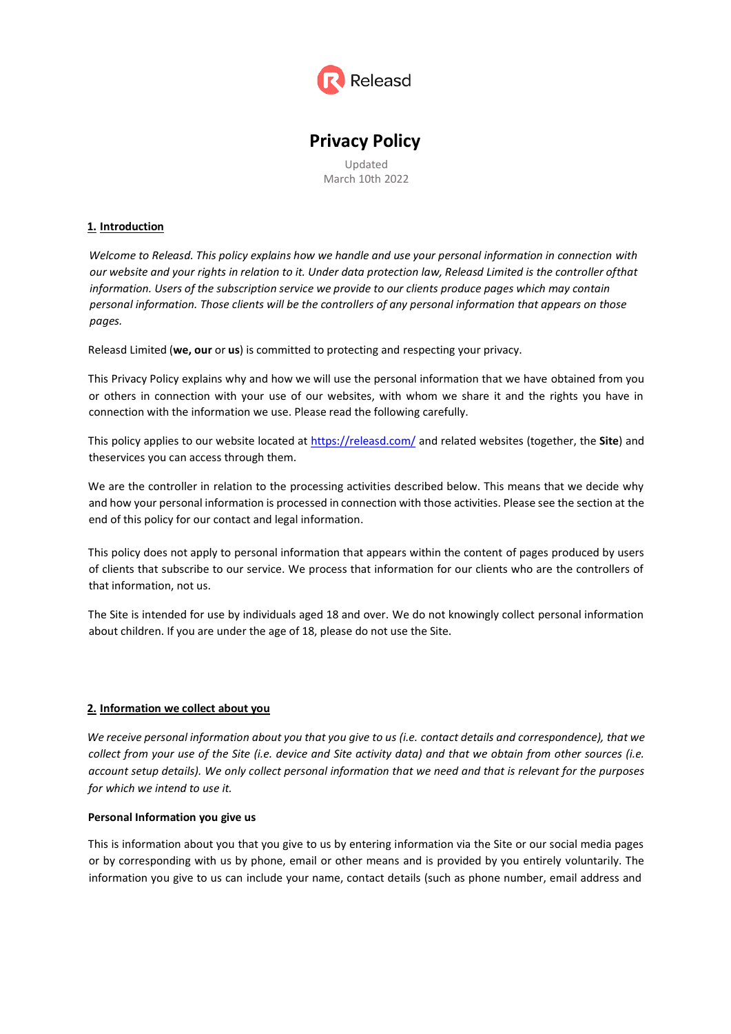

# **Privacy Policy**

Updated March 10th 2022

## **1. Introduction**

*Welcome to Releasd. This policy explains how we handle and use your personal information in connection with our website and your rights in relation to it. Under data protection law, Releasd Limited is the controller ofthat information. Users of the subscription service we provide to our clients produce pages which may contain personal information. Those clients will be the controllers of any personal information that appears on those pages.*

Releasd Limited (**we, our** or **us**) is committed to protecting and respecting your privacy.

This Privacy Policy explains why and how we will use the personal information that we have obtained from you or others in connection with your use of our websites, with whom we share it and the rights you have in connection with the information we use. Please read the following carefully.

This policy applies to our website located at<https://releasd.com/> and related websites (together, the **Site**) and theservices you can access through them.

We are the controller in relation to the processing activities described below. This means that we decide why and how your personal information is processed in connection with those activities. Please see the section at the end of this policy for our contact and legal information.

This policy does not apply to personal information that appears within the content of pages produced by users of clients that subscribe to our service. We process that information for our clients who are the controllers of that information, not us.

The Site is intended for use by individuals aged 18 and over. We do not knowingly collect personal information about children. If you are under the age of 18, please do not use the Site.

### **2. Information we collect about you**

We receive personal information about you that you give to us (i.e. contact details and correspondence), that we *collect from your use of the Site (i.e. device and Site activity data) and that we obtain from other sources (i.e. account setup details). We only collect personal information that we need and that is relevant for the purposes for which we intend to use it.*

### **Personal Information you give us**

This is information about you that you give to us by entering information via the Site or our social media pages or by corresponding with us by phone, email or other means and is provided by you entirely voluntarily. The information you give to us can include your name, contact details (such as phone number, email address and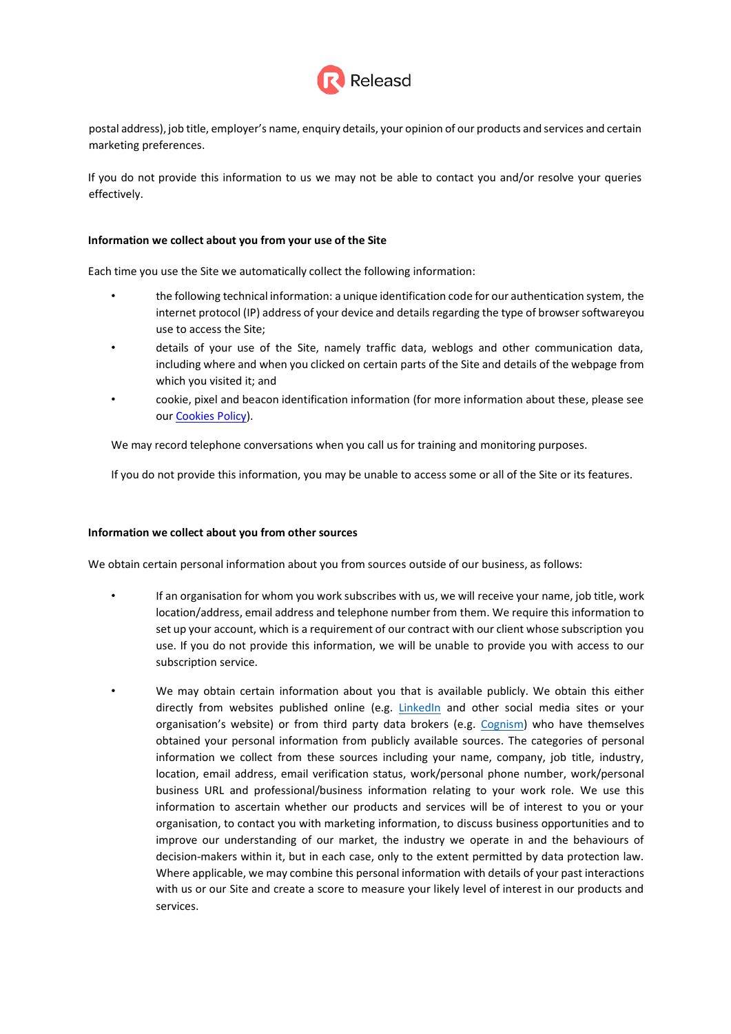

postal address), job title, employer's name, enquiry details, your opinion of our products and services and certain marketing preferences.

If you do not provide this information to us we may not be able to contact you and/or resolve your queries effectively.

#### **Information we collect about you from your use of the Site**

Each time you use the Site we automatically collect the following information:

- the following technical information: a unique identification code for our authentication system, the internet protocol (IP) address of your device and details regarding the type of browsersoftwareyou use to access the Site;
- details of your use of the Site, namely traffic data, weblogs and other communication data, including where and when you clicked on certain parts of the Site and details of the webpage from which you visited it; and
- cookie, pixel and beacon identification information (for more information about these, please see our [Cookies](https://www.releasd.com/cookie-policy.pdf) Policy).

We may record telephone conversations when you call us for training and monitoring purposes.

If you do not provide this information, you may be unable to access some or all of the Site or its features.

### **Information we collect about you from other sources**

We obtain certain personal information about you from sources outside of our business, as follows:

- If an organisation for whom you work subscribes with us, we will receive your name, job title, work location/address, email address and telephone number from them. We require this information to set up your account, which is a requirement of our contract with our client whose subscription you use. If you do not provide this information, we will be unable to provide you with access to our subscription service.
	- We may obtain certain information about you that is available publicly. We obtain this either directly from websites published online (e.g. LinkedIn and other social media sites or your organisation's website) or from third party data brokers (e.g. Cognism) who have themselves obtained your personal information from publicly available sources. The categories of personal information we collect from these sources including your name, company, job title, industry, location, email address, email verification status, work/personal phone number, work/personal business URL and professional/business information relating to your work role. We use this information to ascertain whether our products and services will be of interest to you or your organisation, to contact you with marketing information, to discuss business opportunities and to improve our understanding of our market, the industry we operate in and the behaviours of decision-makers within it, but in each case, only to the extent permitted by data protection law. Where applicable, we may combine this personal information with details of your past interactions with us or our Site and create a score to measure your likely level of interest in our products and services.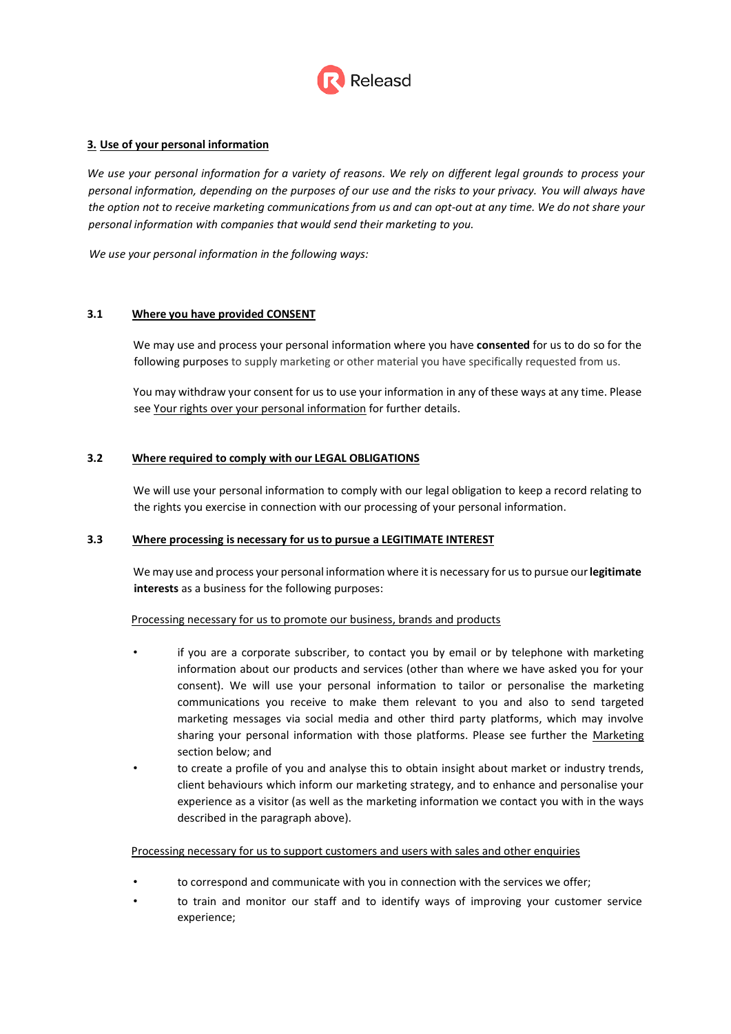

## **3. Use of your personal information**

*We use your personal information for a variety of reasons. We rely on different legal grounds to process your personal information, depending on the purposes of our use and the risks to your privacy. You will always have the option not to receive marketing communications from us and can opt-out at any time. We do not share your personal information with companies that would send their marketing to you.*

*We use your personal information in the following ways:*

### **3.1 Where you have provided CONSENT**

We may use and process your personal information where you have **consented** for us to do so for the following purposes to supply marketing or other material you have specifically requested from us.

You may withdraw your consent for us to use your information in any of these ways at any time. Please see Your rights over your personal information for further details.

### **3.2 Where required to comply with our LEGAL OBLIGATIONS**

We will use your personal information to comply with our legal obligation to keep a record relating to the rights you exercise in connection with our processing of your personal information.

#### **3.3 Where processing is necessary for us to pursue a LEGITIMATE INTEREST**

We may use and process your personal information where it is necessary for us to pursue our **legitimate interests** as a business for the following purposes:

### Processing necessary for us to promote our business, brands and products

- if you are a corporate subscriber, to contact you by email or by telephone with marketing information about our products and services (other than where we have asked you for your consent). We will use your personal information to tailor or personalise the marketing communications you receive to make them relevant to you and also to send targeted marketing messages via social media and other third party platforms, which may involve sharing your personal information with those platforms. Please see further the Marketing section below; and
- to create a profile of you and analyse this to obtain insight about market or industry trends, client behaviours which inform our marketing strategy, and to enhance and personalise your experience as a visitor (as well as the marketing information we contact you with in the ways described in the paragraph above).

#### Processing necessary for us to support customers and users with sales and other enquiries

- to correspond and communicate with you in connection with the services we offer;
- to train and monitor our staff and to identify ways of improving your customer service experience;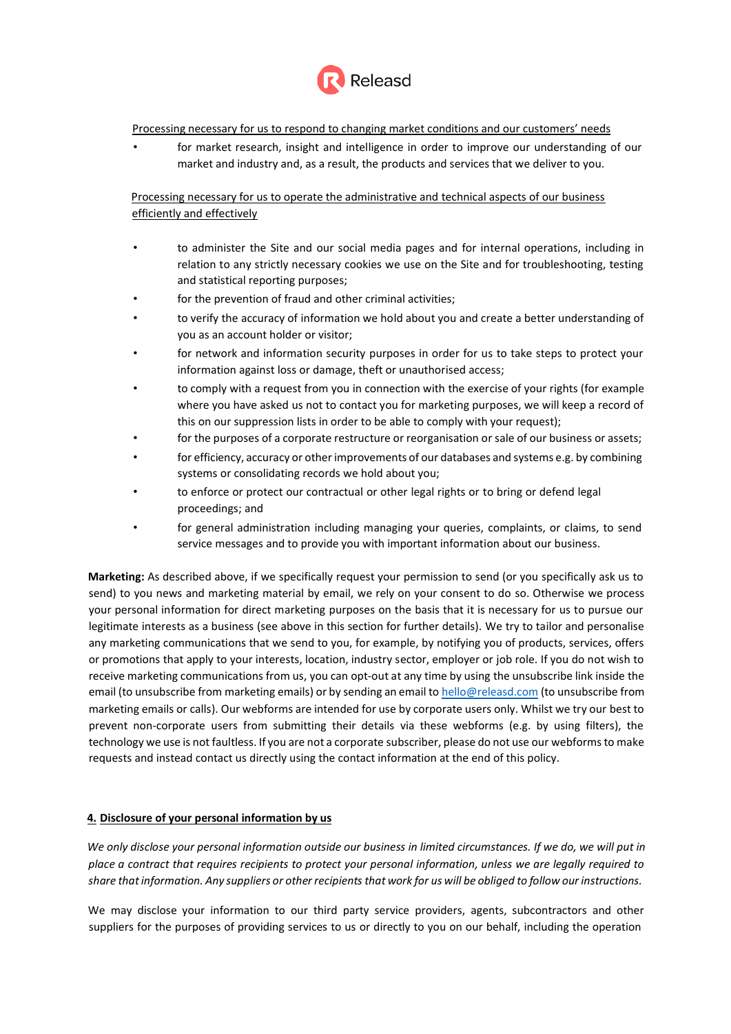

Processing necessary for us to respond to changing market conditions and our customers' needs

• for market research, insight and intelligence in order to improve our understanding of our market and industry and, as a result, the products and services that we deliver to you.

Processing necessary for us to operate the administrative and technical aspects of our business efficiently and effectively

- to administer the Site and our social media pages and for internal operations, including in relation to any strictly necessary cookies we use on the Site and for troubleshooting, testing and statistical reporting purposes;
- for the prevention of fraud and other criminal activities;
- to verify the accuracy of information we hold about you and create a better understanding of you as an account holder or visitor;
- for network and information security purposes in order for us to take steps to protect your information against loss or damage, theft or unauthorised access;
- to comply with a request from you in connection with the exercise of your rights (for example where you have asked us not to contact you for marketing purposes, we will keep a record of this on our suppression lists in order to be able to comply with your request);
- for the purposes of a corporate restructure or reorganisation or sale of our business or assets;
- for efficiency, accuracy or other improvements of our databases and systems e.g. by combining systems or consolidating records we hold about you;
- to enforce or protect our contractual or other legal rights or to bring or defend legal proceedings; and
- for general administration including managing your queries, complaints, or claims, to send service messages and to provide you with important information about our business.

**Marketing:** As described above, if we specifically request your permission to send (or you specifically ask us to send) to you news and marketing material by email, we rely on your consent to do so. Otherwise we process your personal information for direct marketing purposes on the basis that it is necessary for us to pursue our legitimate interests as a business (see above in this section for further details). We try to tailor and personalise any marketing communications that we send to you, for example, by notifying you of products, services, offers or promotions that apply to your interests, location, industry sector, employer or job role. If you do not wish to receive marketing communications from us, you can opt-out at any time by using the unsubscribe link inside the email (to unsubscribe from marketing emails) or by sending an email to [hello@releasd.com](mailto:hello@releasd.com) (to unsubscribe from marketing emails or calls). Our webforms are intended for use by corporate users only. Whilst we try our best to prevent non-corporate users from submitting their details via these webforms (e.g. by using filters), the technology we use is not faultless. If you are not a corporate subscriber, please do not use our webforms to make requests and instead contact us directly using the contact information at the end of this policy.

### **4. Disclosure of your personal information by us**

We only disclose your personal information outside our business in limited circumstances. If we do, we will put in *place a contract that requires recipients to protect your personal information, unless we are legally required to* share that information. Any suppliers or other recipients that work for us will be obliged to follow our instructions.

We may disclose your information to our third party service providers, agents, subcontractors and other suppliers for the purposes of providing services to us or directly to you on our behalf, including the operation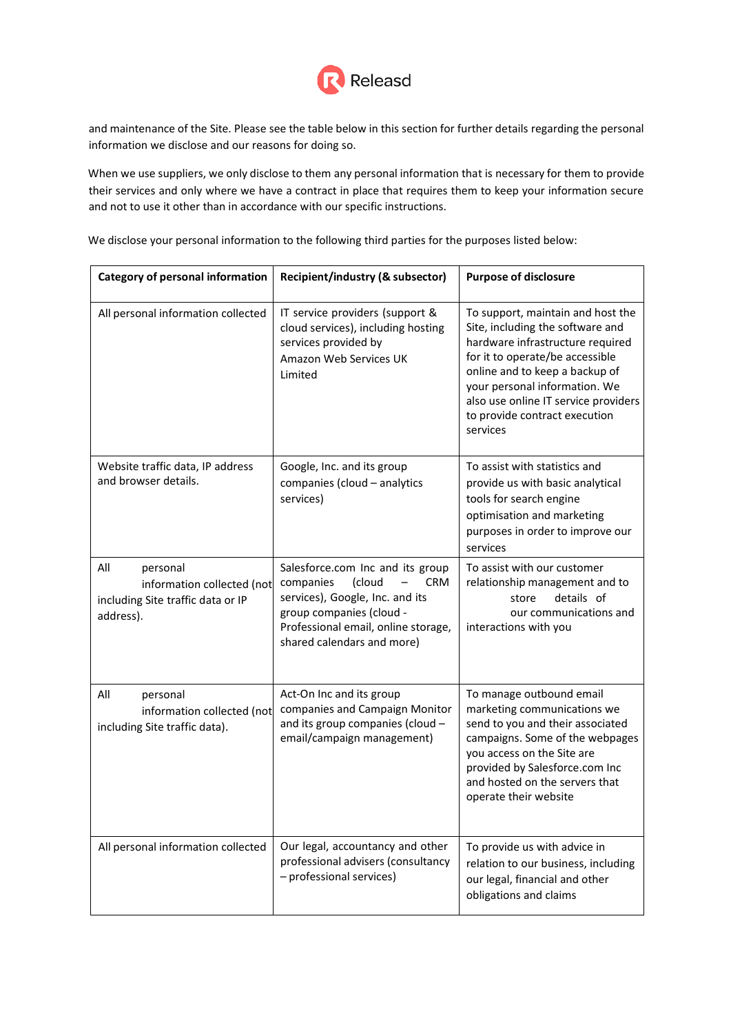

and maintenance of the Site. Please see the table below in this section for further details regarding the personal information we disclose and our reasons for doing so.

When we use suppliers, we only disclose to them any personal information that is necessary for them to provide their services and only where we have a contract in place that requires them to keep your information secure and not to use it other than in accordance with our specific instructions.

We disclose your personal information to the following third parties for the purposes listed below:

| <b>Category of personal information</b>                                                         | Recipient/industry (& subsector)                                                                                                                                                                                 | <b>Purpose of disclosure</b>                                                                                                                                                                                                                                                                         |
|-------------------------------------------------------------------------------------------------|------------------------------------------------------------------------------------------------------------------------------------------------------------------------------------------------------------------|------------------------------------------------------------------------------------------------------------------------------------------------------------------------------------------------------------------------------------------------------------------------------------------------------|
| All personal information collected                                                              | IT service providers (support &<br>cloud services), including hosting<br>services provided by<br>Amazon Web Services UK<br>Limited                                                                               | To support, maintain and host the<br>Site, including the software and<br>hardware infrastructure required<br>for it to operate/be accessible<br>online and to keep a backup of<br>your personal information. We<br>also use online IT service providers<br>to provide contract execution<br>services |
| Website traffic data, IP address<br>and browser details.                                        | Google, Inc. and its group<br>companies (cloud - analytics<br>services)                                                                                                                                          | To assist with statistics and<br>provide us with basic analytical<br>tools for search engine<br>optimisation and marketing<br>purposes in order to improve our<br>services                                                                                                                           |
| All<br>personal<br>information collected (not<br>including Site traffic data or IP<br>address). | Salesforce.com Inc and its group<br><b>CRM</b><br>companies<br><i>(cloud</i><br>services), Google, Inc. and its<br>group companies (cloud -<br>Professional email, online storage,<br>shared calendars and more) | To assist with our customer<br>relationship management and to<br>details of<br>store<br>our communications and<br>interactions with you                                                                                                                                                              |
| All<br>personal<br>information collected (not<br>including Site traffic data).                  | Act-On Inc and its group<br>companies and Campaign Monitor<br>and its group companies (cloud -<br>email/campaign management)                                                                                     | To manage outbound email<br>marketing communications we<br>send to you and their associated<br>campaigns. Some of the webpages<br>you access on the Site are<br>provided by Salesforce.com Inc<br>and hosted on the servers that<br>operate their website                                            |
| All personal information collected                                                              | Our legal, accountancy and other<br>professional advisers (consultancy<br>- professional services)                                                                                                               | To provide us with advice in<br>relation to our business, including<br>our legal, financial and other<br>obligations and claims                                                                                                                                                                      |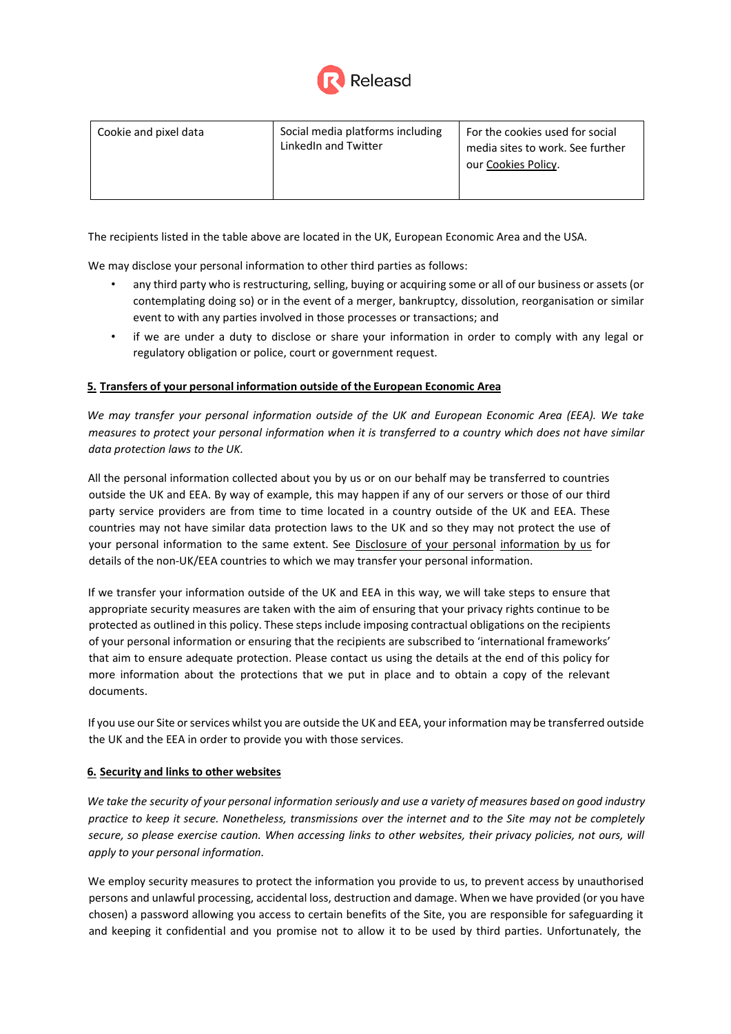

| Cookie and pixel data | Social media platforms including<br>LinkedIn and Twitter | For the cookies used for social<br>media sites to work. See further<br>our Cookies Policy. |
|-----------------------|----------------------------------------------------------|--------------------------------------------------------------------------------------------|
|-----------------------|----------------------------------------------------------|--------------------------------------------------------------------------------------------|

The recipients listed in the table above are located in the UK, European Economic Area and the USA.

We may disclose your personal information to other third parties as follows:

- any third party who is restructuring, selling, buying or acquiring some or all of our business or assets (or contemplating doing so) or in the event of a merger, bankruptcy, dissolution, reorganisation or similar event to with any parties involved in those processes or transactions; and
- if we are under a duty to disclose or share your information in order to comply with any legal or regulatory obligation or police, court or government request.

## **5. Transfers of your personal information outside of the European Economic Area**

*We may transfer your personal information outside of the UK and European Economic Area (EEA). We take measures to protect your personal information when it is transferred to a country which does not have similar data protection laws to the UK.*

All the personal information collected about you by us or on our behalf may be transferred to countries outside the UK and EEA. By way of example, this may happen if any of our servers or those of our third party service providers are from time to time located in a country outside of the UK and EEA. These countries may not have similar data protection laws to the UK and so they may not protect the use of your personal information to the same extent. See Disclosure of your personal information by us for details of the non-UK/EEA countries to which we may transfer your personal information.

If we transfer your information outside of the UK and EEA in this way, we will take steps to ensure that appropriate security measures are taken with the aim of ensuring that your privacy rights continue to be protected as outlined in this policy. These steps include imposing contractual obligations on the recipients of your personal information or ensuring that the recipients are subscribed to 'international frameworks' that aim to ensure adequate protection. Please contact us using the details at the end of this policy for more information about the protections that we put in place and to obtain a copy of the relevant documents.

If you use our Site orservices whilst you are outside the UK and EEA, yourinformation may be transferred outside the UK and the EEA in order to provide you with those services.

### **6. Security and links to other websites**

We take the security of your personal information seriously and use a variety of measures based on good industry *practice to keep it secure. Nonetheless, transmissions over the internet and to the Site may not be completely secure, so please exercise caution. When accessing links to other websites, their privacy policies, not ours, will apply to your personal information.*

We employ security measures to protect the information you provide to us, to prevent access by unauthorised persons and unlawful processing, accidental loss, destruction and damage. When we have provided (or you have chosen) a password allowing you access to certain benefits of the Site, you are responsible for safeguarding it and keeping it confidential and you promise not to allow it to be used by third parties. Unfortunately, the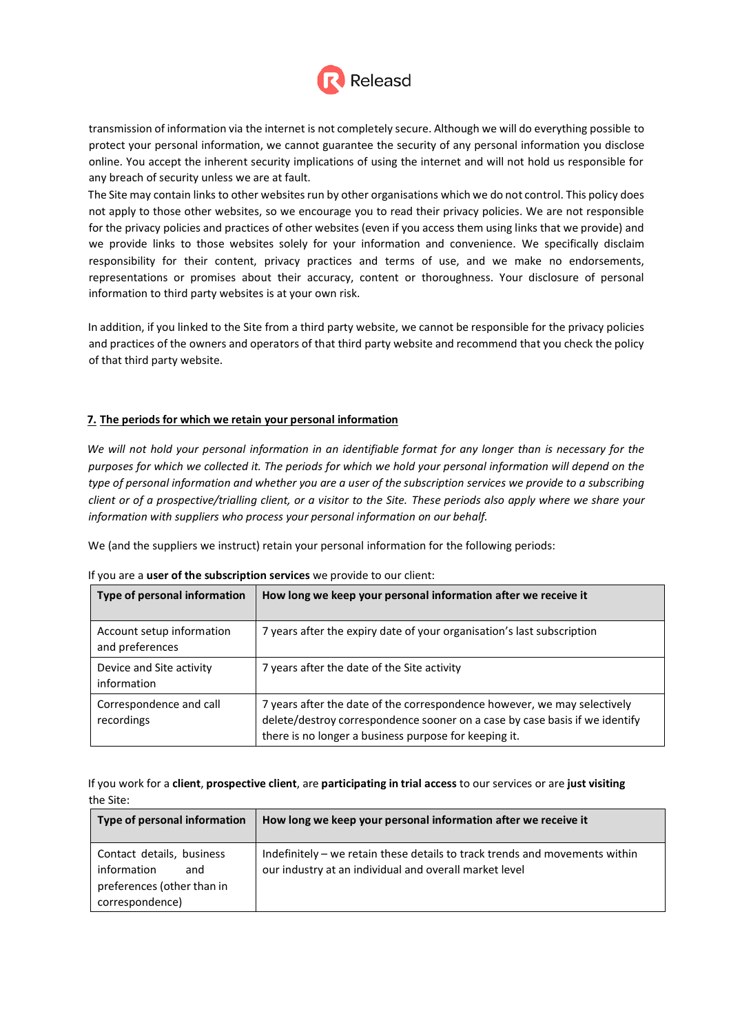

transmission of information via the internet is not completely secure. Although we will do everything possible to protect your personal information, we cannot guarantee the security of any personal information you disclose online. You accept the inherent security implications of using the internet and will not hold us responsible for any breach of security unless we are at fault.

The Site may contain links to other websites run by other organisations which we do not control. This policy does not apply to those other websites, so we encourage you to read their privacy policies. We are not responsible for the privacy policies and practices of other websites (even if you access them using links that we provide) and we provide links to those websites solely for your information and convenience. We specifically disclaim responsibility for their content, privacy practices and terms of use, and we make no endorsements, representations or promises about their accuracy, content or thoroughness. Your disclosure of personal information to third party websites is at your own risk.

In addition, if you linked to the Site from a third party website, we cannot be responsible for the privacy policies and practices of the owners and operators of that third party website and recommend that you check the policy of that third party website.

## **7. The periods for which we retain your personal information**

*We will not hold your personal information in an identifiable format for any longer than is necessary for the purposes for which we collected it. The periods for which we hold your personal information will depend on the type of personal information and whether you are a user of the subscription services we provide to a subscribing client or of a prospective/trialling client, or a visitor to the Site. These periods also apply where we share your information with suppliers who process your personal information on our behalf.*

We (and the suppliers we instruct) retain your personal information for the following periods:

| Type of personal information                 | How long we keep your personal information after we receive it                                                                                                                                                   |
|----------------------------------------------|------------------------------------------------------------------------------------------------------------------------------------------------------------------------------------------------------------------|
| Account setup information<br>and preferences | 7 years after the expiry date of your organisation's last subscription                                                                                                                                           |
| Device and Site activity<br>information      | 7 years after the date of the Site activity                                                                                                                                                                      |
| Correspondence and call<br>recordings        | 7 years after the date of the correspondence however, we may selectively<br>delete/destroy correspondence sooner on a case by case basis if we identify<br>there is no longer a business purpose for keeping it. |

If you are a **user of the subscription services** we provide to our client:

If you work for a **client**, **prospective client**, are **participating in trial access** to our services or are **just visiting** the Site:

| Type of personal information                                                                     | How long we keep your personal information after we receive it                                                                        |
|--------------------------------------------------------------------------------------------------|---------------------------------------------------------------------------------------------------------------------------------------|
| Contact details, business<br>information<br>and<br>preferences (other than in<br>correspondence) | Indefinitely – we retain these details to track trends and movements within<br>our industry at an individual and overall market level |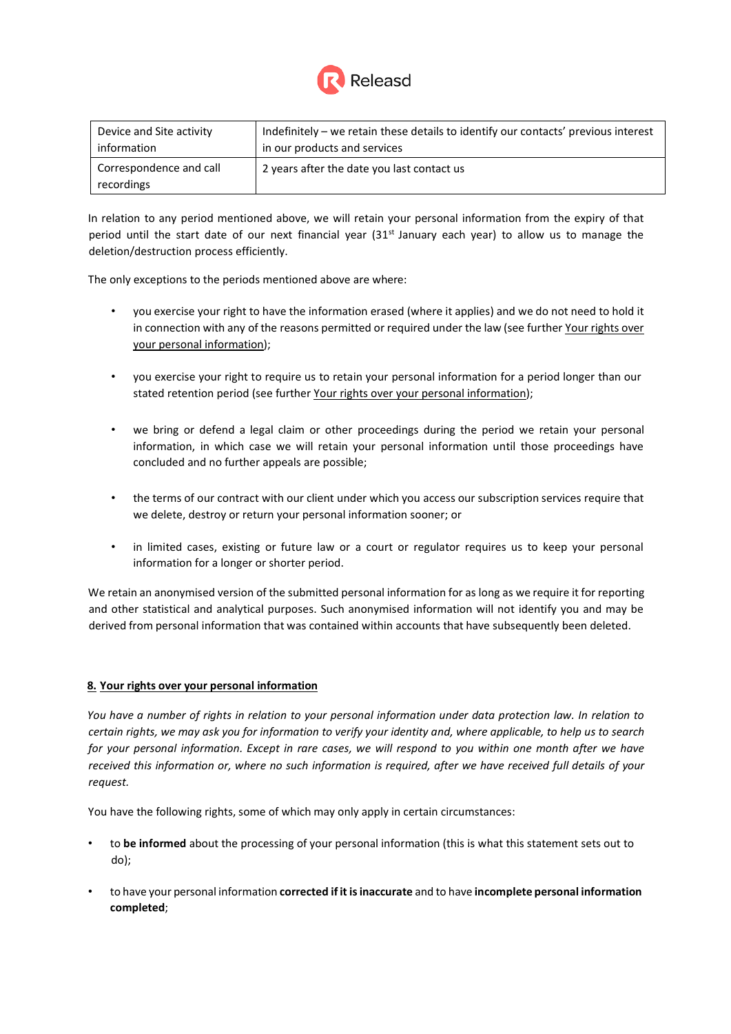

| Device and Site activity              | Indefinitely – we retain these details to identify our contacts' previous interest |
|---------------------------------------|------------------------------------------------------------------------------------|
| information                           | in our products and services                                                       |
| Correspondence and call<br>recordings | 2 years after the date you last contact us                                         |

In relation to any period mentioned above, we will retain your personal information from the expiry of that period until the start date of our next financial year (31<sup>st</sup> January each year) to allow us to manage the deletion/destruction process efficiently.

The only exceptions to the periods mentioned above are where:

- you exercise your right to have the information erased (where it applies) and we do not need to hold it in connection with any of the reasons permitted or required under the law (see further Your rights over your personal information);
- you exercise your right to require us to retain your personal information for a period longer than our stated retention period (see further Your rights over your personal information);
- we bring or defend a legal claim or other proceedings during the period we retain your personal information, in which case we will retain your personal information until those proceedings have concluded and no further appeals are possible;
- the terms of our contract with our client under which you access our subscription services require that we delete, destroy or return your personal information sooner; or
- in limited cases, existing or future law or a court or regulator requires us to keep your personal information for a longer or shorter period.

We retain an anonymised version of the submitted personal information for as long as we require it for reporting and other statistical and analytical purposes. Such anonymised information will not identify you and may be derived from personal information that was contained within accounts that have subsequently been deleted.

### **8. Your rights over your personal information**

*You have a number of rights in relation to your personal information under data protection law. In relation to certain rights, we may ask you for information to verify your identity and, where applicable, to help us to search for your personal information. Except in rare cases, we will respond to you within one month after we have received this information or, where no such information is required, after we have received full details of your request.*

You have the following rights, some of which may only apply in certain circumstances:

- to **be informed** about the processing of your personal information (this is what this statement sets out to do);
- to have your personal information **corrected if it isinaccurate** and to have **incomplete personal information completed**;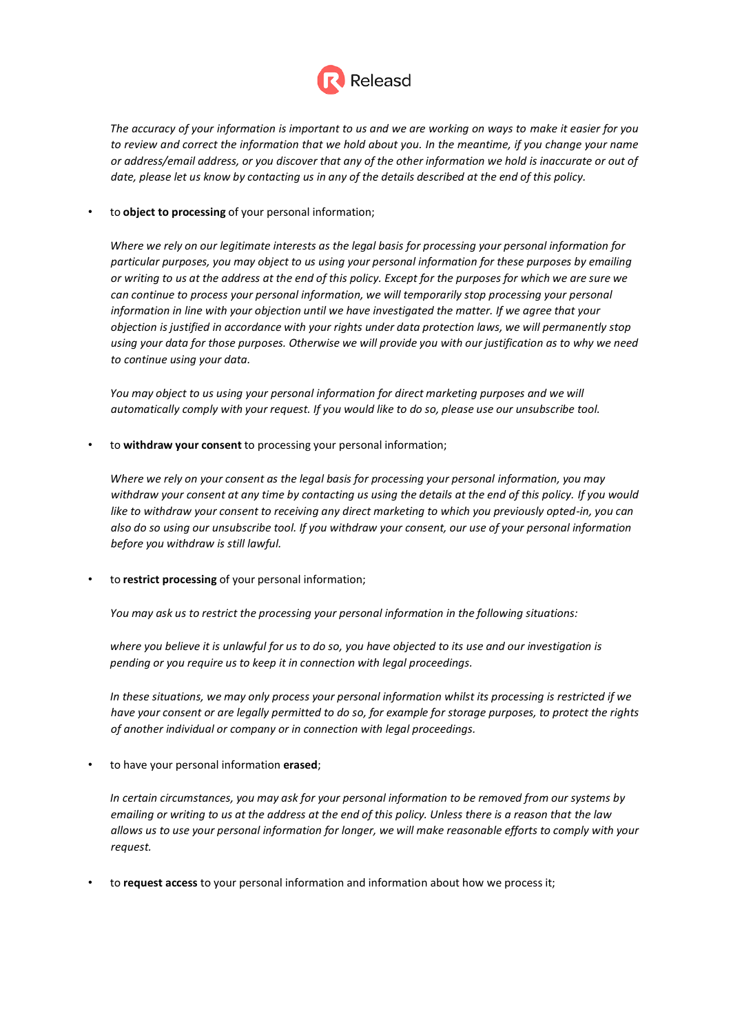

*The accuracy of your information is important to us and we are working on ways to make it easier for you to review and correct the information that we hold about you. In the meantime, if you change your name or address/email address, or you discover that any of the other information we hold is inaccurate or out of* date, please let us know by contacting us in any of the details described at the end of this policy.

### • to **object to processing** of your personal information;

*Where we rely on our legitimate interests as the legal basis for processing your personal information for particular purposes, you may object to us using your personal information for these purposes by emailing or writing to us at the address at the end of this policy. Except for the purposes for which we are sure we can continue to process your personal information, we will temporarily stop processing your personal information in line with your objection until we have investigated the matter. If we agree that your objection is justified in accordance with your rights under data protection laws, we will permanently stop using your data for those purposes. Otherwise we will provide you with our justification as to why we need to continue using your data.*

*You may object to us using your personal information for direct marketing purposes and we will automatically comply with your request. If you would like to do so, please use our unsubscribe tool.*

• to **withdraw your consent** to processing your personal information;

*Where we rely on your consent as the legal basis for processing your personal information, you may withdraw your consent at any time by contacting us using the details at the end of this policy. If you would like to withdraw your consent to receiving any direct marketing to which you previously opted-in, you can also do so using our unsubscribe tool. If you withdraw your consent, our use of your personal information before you withdraw is still lawful.*

• to **restrict processing** of your personal information;

*You may ask us to restrict the processing your personal information in the following situations:*

*where you believe it is unlawful for us to do so, you have objected to its use and our investigation is pending or you require us to keep it in connection with legal proceedings.*

*In these situations, we may only process your personal information whilst its processing is restricted if we have your consent or are legally permitted to do so, for example for storage purposes, to protect the rights of another individual or company or in connection with legal proceedings.*

• to have your personal information **erased**;

*In certain circumstances, you may ask for your personal information to be removed from our systems by emailing or writing to us at the address at the end of this policy. Unless there is a reason that the law allows us to use your personal information for longer, we will make reasonable efforts to comply with your request.*

• to **request access** to your personal information and information about how we process it;